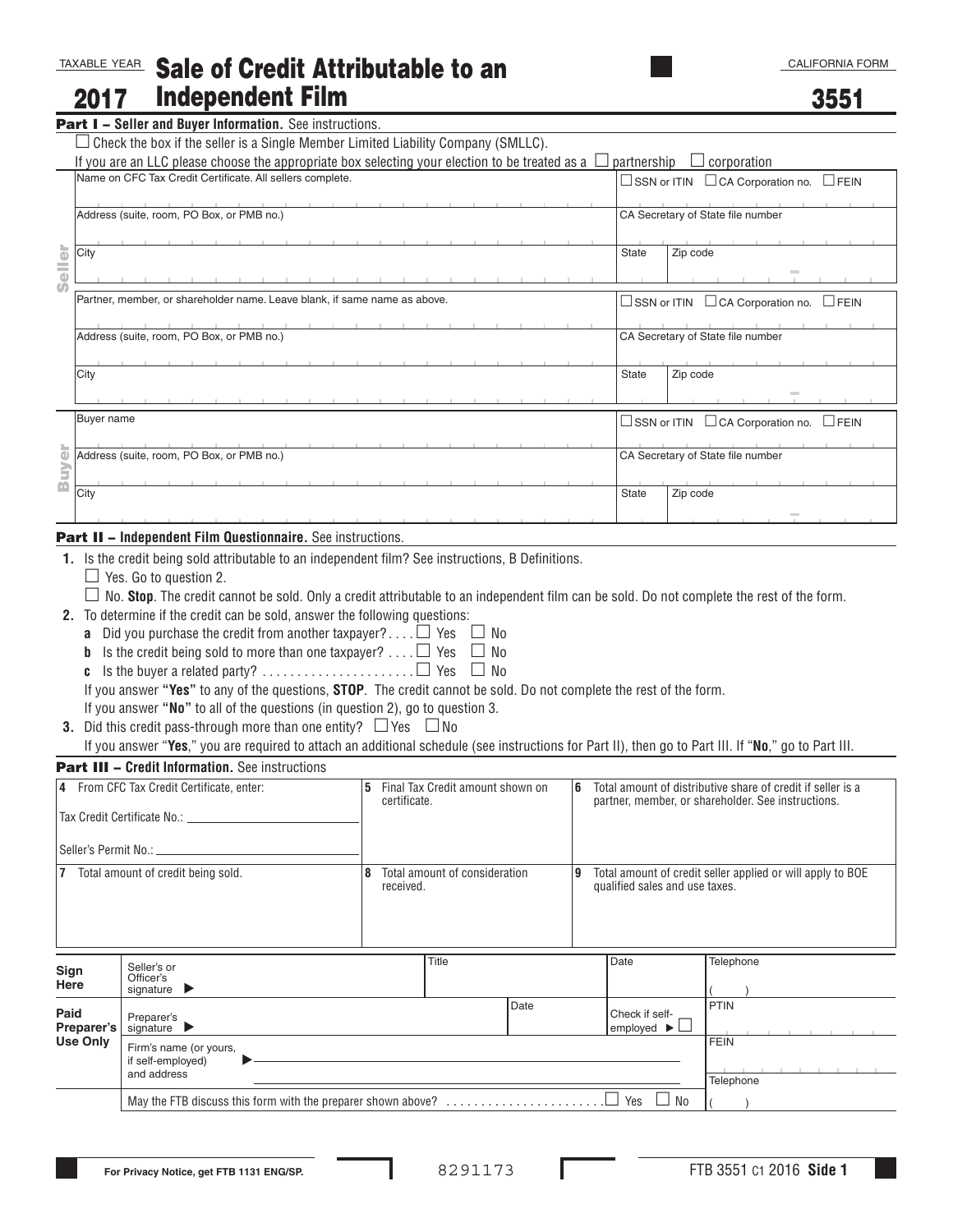#### TAXABLE YEAR Sale of Credit Attributable to an Independent Film 2017

3551

| ---- |  |  |                                                                 |
|------|--|--|-----------------------------------------------------------------|
|      |  |  |                                                                 |
|      |  |  | <b>Part I - Seller and Buyer Information.</b> See instructions. |

| $\Box$ Check the box if the seller is a Single Member Limited Liability Company (SMLLC). |  |  |
|------------------------------------------------------------------------------------------|--|--|

| If you are an LLC please choose the appropriate box selecting your election to be treated as a $\Box$<br>Name on CFC Tax Credit Certificate. All sellers complete. |                                                                                                                                                                                                                                                                                                                                                                                                                                                                                                                                                                                                                            |           |                                                         |      |              |                                                       | partnership<br>$\Box$ corporation<br>□ SSN or ITIN □ CA Corporation no. □ FEIN                                    |                                                                   |  |  |
|--------------------------------------------------------------------------------------------------------------------------------------------------------------------|----------------------------------------------------------------------------------------------------------------------------------------------------------------------------------------------------------------------------------------------------------------------------------------------------------------------------------------------------------------------------------------------------------------------------------------------------------------------------------------------------------------------------------------------------------------------------------------------------------------------------|-----------|---------------------------------------------------------|------|--------------|-------------------------------------------------------|-------------------------------------------------------------------------------------------------------------------|-------------------------------------------------------------------|--|--|
|                                                                                                                                                                    | Address (suite, room, PO Box, or PMB no.)                                                                                                                                                                                                                                                                                                                                                                                                                                                                                                                                                                                  |           |                                                         |      |              | CA Secretary of State file number                     |                                                                                                                   |                                                                   |  |  |
| eller<br>City                                                                                                                                                      |                                                                                                                                                                                                                                                                                                                                                                                                                                                                                                                                                                                                                            |           |                                                         |      |              | <b>State</b>                                          | Zip code                                                                                                          |                                                                   |  |  |
|                                                                                                                                                                    | Partner, member, or shareholder name. Leave blank, if same name as above.                                                                                                                                                                                                                                                                                                                                                                                                                                                                                                                                                  |           |                                                         |      |              |                                                       | $\square$ SSN or ITIN $\square$ CA Corporation no. $\square$ FEIN<br>CA Secretary of State file number            |                                                                   |  |  |
|                                                                                                                                                                    | Address (suite, room, PO Box, or PMB no.)                                                                                                                                                                                                                                                                                                                                                                                                                                                                                                                                                                                  |           |                                                         |      |              |                                                       |                                                                                                                   |                                                                   |  |  |
| City                                                                                                                                                               |                                                                                                                                                                                                                                                                                                                                                                                                                                                                                                                                                                                                                            |           |                                                         |      |              | <b>State</b>                                          | Zip code                                                                                                          |                                                                   |  |  |
| Buyer name                                                                                                                                                         |                                                                                                                                                                                                                                                                                                                                                                                                                                                                                                                                                                                                                            |           |                                                         |      |              |                                                       |                                                                                                                   | $\square$ SSN or ITIN $\square$ CA Corporation no. $\square$ FEIN |  |  |
| ievr                                                                                                                                                               | Address (suite, room, PO Box, or PMB no.)                                                                                                                                                                                                                                                                                                                                                                                                                                                                                                                                                                                  |           |                                                         |      |              | CA Secretary of State file number                     |                                                                                                                   |                                                                   |  |  |
| m<br>City                                                                                                                                                          |                                                                                                                                                                                                                                                                                                                                                                                                                                                                                                                                                                                                                            |           |                                                         |      | <b>State</b> | Zip code                                              |                                                                                                                   |                                                                   |  |  |
|                                                                                                                                                                    | <b>Part II - Independent Film Questionnaire.</b> See instructions.                                                                                                                                                                                                                                                                                                                                                                                                                                                                                                                                                         |           |                                                         |      |              |                                                       |                                                                                                                   |                                                                   |  |  |
|                                                                                                                                                                    | <b>a</b> Did you purchase the credit from another taxpayer? $\Box$ Yes $\Box$ No<br><b>b</b> Is the credit being sold to more than one taxpayer? $\Box$ Yes $\Box$ No<br>If you answer "Yes" to any of the questions, STOP. The credit cannot be sold. Do not complete the rest of the form.<br>If you answer "No" to all of the questions (in question 2), go to question 3.<br><b>3.</b> Did this credit pass-through more than one entity? $\Box$ Yes $\Box$ No<br>If you answer "Yes," you are required to attach an additional schedule (see instructions for Part II), then go to Part III. If "No," go to Part III. |           |                                                         |      |              |                                                       |                                                                                                                   |                                                                   |  |  |
|                                                                                                                                                                    | <b>Part III - Credit Information.</b> See instructions                                                                                                                                                                                                                                                                                                                                                                                                                                                                                                                                                                     |           |                                                         |      |              |                                                       |                                                                                                                   |                                                                   |  |  |
|                                                                                                                                                                    | 4 From CFC Tax Credit Certificate, enter:<br>Tax Credit Certificate No.:                                                                                                                                                                                                                                                                                                                                                                                                                                                                                                                                                   |           | 5 Final Tax Credit amount shown on<br>6<br>certificate. |      |              |                                                       | Total amount of distributive share of credit if seller is a<br>partner, member, or shareholder. See instructions. |                                                                   |  |  |
| Seller's Permit No.:                                                                                                                                               |                                                                                                                                                                                                                                                                                                                                                                                                                                                                                                                                                                                                                            |           |                                                         |      |              |                                                       |                                                                                                                   |                                                                   |  |  |
|                                                                                                                                                                    | 7 Total amount of credit being sold.                                                                                                                                                                                                                                                                                                                                                                                                                                                                                                                                                                                       | received. | Total amount of consideration                           |      | 9            | qualified sales and use taxes.                        |                                                                                                                   | Total amount of credit seller applied or will apply to BOE        |  |  |
| Sign<br>Here                                                                                                                                                       | Seller's or<br>Officer's<br>signature $\blacktriangleright$                                                                                                                                                                                                                                                                                                                                                                                                                                                                                                                                                                |           | Title                                                   |      |              | Date                                                  |                                                                                                                   | Telephone                                                         |  |  |
| Paid<br>Preparer's                                                                                                                                                 | Preparer's<br>signature $\blacktriangleright$                                                                                                                                                                                                                                                                                                                                                                                                                                                                                                                                                                              |           |                                                         | Date |              | Check if self-<br>employed $\blacktriangleright \Box$ |                                                                                                                   | PTIN                                                              |  |  |
|                                                                                                                                                                    |                                                                                                                                                                                                                                                                                                                                                                                                                                                                                                                                                                                                                            |           |                                                         |      |              |                                                       |                                                                                                                   | <b>FEIN</b>                                                       |  |  |

- **a** Did you purchase the credit from another taxpayer?... $\Box$  Yes  $\Box$  No
- **b** Is the credit being sold to more than one taxpayer? ...  $\Box$  Yes  $\Box$  No
- **c** Is the buyer a related party?  $\ldots$   $\ldots$   $\ldots$   $\ldots$   $\ldots$   $\Box$  Yes  $\Box$  No

- If you answer **"No"** to all of the questions (in question 2), go to question 3.
- **3.** Did this credit pass-through more than one entity?  $\Box$  Yes  $\Box$  No

### **Part III – Credit Information.** See instructions

| 4 From CFC Tax Credit Certificate, enter:<br>Tax Credit Certificate No.: |                                                             |                   | Final Tax Credit amount shown on<br>certificate. |                                                  |   | Total amount of distributive share of credit if seller is a<br>6<br>partner, member, or shareholder. See instructions. |           |  |  |
|--------------------------------------------------------------------------|-------------------------------------------------------------|-------------------|--------------------------------------------------|--------------------------------------------------|---|------------------------------------------------------------------------------------------------------------------------|-----------|--|--|
| Seller's Permit No.: Seller's Permit No.:                                |                                                             |                   |                                                  |                                                  |   |                                                                                                                        |           |  |  |
| Total amount of credit being sold.<br>7                                  |                                                             |                   | Total amount of consideration<br>received.       |                                                  | 9 | Total amount of credit seller applied or will apply to BOE<br>qualified sales and use taxes.                           |           |  |  |
| Sign<br>Here                                                             | Seller's or<br>Officer's<br>signature $\blacktriangleright$ |                   | Title                                            |                                                  |   | Date                                                                                                                   | Telephone |  |  |
| Paid<br>Preparer's                                                       | Preparer's<br>signature $\blacktriangleright$               |                   | Date                                             | Check if self-<br>employed $\blacktriangleright$ |   | PTIN                                                                                                                   |           |  |  |
| <b>Use Only</b>                                                          | Firm's name (or yours,<br>if self-employed)<br>and address  | FEIN<br>Telephone |                                                  |                                                  |   |                                                                                                                        |           |  |  |
|                                                                          |                                                             |                   |                                                  |                                                  |   |                                                                                                                        |           |  |  |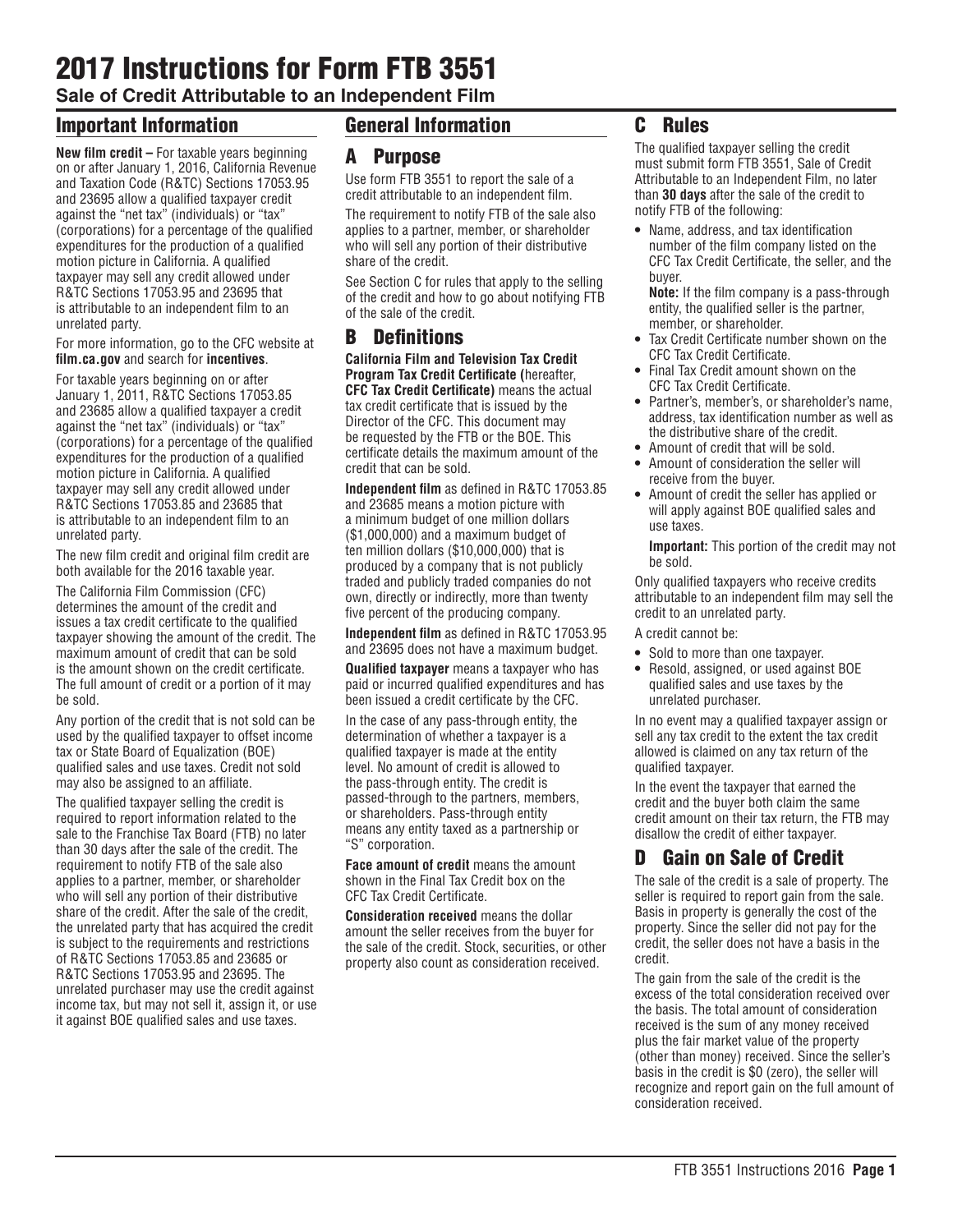# 2017 Instructions for Form FTB 3551

**Sale of Credit Attributable to an Independent Film**

# Important Information

**New film credit –** For taxable years beginning on or after January 1, 2016, California Revenue and Taxation Code (R&TC) Sections 17053.95 and 23695 allow a qualified taxpayer credit against the "net tax" (individuals) or "tax" (corporations) for a percentage of the qualified expenditures for the production of a qualified motion picture in California. A qualified taxpayer may sell any credit allowed under R&TC Sections 17053.95 and 23695 that is attributable to an independent film to an unrelated party.

For more information, go to the CFC website at **film.ca.gov** and search for **incentives**.

For taxable years beginning on or after January 1, 2011, R&TC Sections 17053.85 and 23685 allow a qualified taxpayer a credit against the "net tax" (individuals) or "tax" (corporations) for a percentage of the qualified expenditures for the production of a qualified motion picture in California. A qualified taxpayer may sell any credit allowed under R&TC Sections 17053.85 and 23685 that is attributable to an independent film to an unrelated party.

The new film credit and original film credit are both available for the 2016 taxable year.

The California Film Commission (CFC) determines the amount of the credit and issues a tax credit certificate to the qualified taxpayer showing the amount of the credit. The maximum amount of credit that can be sold is the amount shown on the credit certificate. The full amount of credit or a portion of it may be sold.

Any portion of the credit that is not sold can be used by the qualified taxpayer to offset income tax or State Board of Equalization (BOE) qualified sales and use taxes. Credit not sold may also be assigned to an affiliate.

The qualified taxpayer selling the credit is required to report information related to the sale to the Franchise Tax Board (FTB) no later than 30 days after the sale of the credit. The requirement to notify FTB of the sale also applies to a partner, member, or shareholder who will sell any portion of their distributive share of the credit. After the sale of the credit, the unrelated party that has acquired the credit is subject to the requirements and restrictions of R&TC Sections 17053.85 and 23685 or R&TC Sections 17053.95 and 23695. The unrelated purchaser may use the credit against income tax, but may not sell it, assign it, or use it against BOE qualified sales and use taxes.

# General Information

# A Purpose

Use form FTB 3551 to report the sale of a credit attributable to an independent film.

The requirement to notify FTB of the sale also applies to a partner, member, or shareholder who will sell any portion of their distributive share of the credit.

See Section C for rules that apply to the selling of the credit and how to go about notifying FTB of the sale of the credit.

# B Definitions

**California Film and Television Tax Credit Program Tax Credit Certificate (**hereafter, **CFC Tax Credit Certificate)** means the actual tax credit certificate that is issued by the Director of the CFC. This document may be requested by the FTB or the BOE. This certificate details the maximum amount of the credit that can be sold.

**Independent film** as defined in R&TC 17053.85 and 23685 means a motion picture with a minimum budget of one million dollars (\$1,000,000) and a maximum budget of ten million dollars (\$10,000,000) that is produced by a company that is not publicly traded and publicly traded companies do not own, directly or indirectly, more than twenty five percent of the producing company.

**Independent film** as defined in R&TC 17053.95 and 23695 does not have a maximum budget.

**Qualified taxpayer** means a taxpayer who has paid or incurred qualified expenditures and has been issued a credit certificate by the CFC.

In the case of any pass-through entity, the determination of whether a taxpayer is a qualified taxpayer is made at the entity level. No amount of credit is allowed to the pass-through entity. The credit is passed-through to the partners, members, or shareholders. Pass-through entity means any entity taxed as a partnership or "S" corporation.

**Face amount of credit** means the amount shown in the Final Tax Credit box on the CFC Tax Credit Certificate.

**Consideration received** means the dollar amount the seller receives from the buyer for the sale of the credit. Stock, securities, or other property also count as consideration received.

# C Rules

The qualified taxpayer selling the credit must submit form FTB 3551, Sale of Credit Attributable to an Independent Film, no later than **30 days** after the sale of the credit to notify FTB of the following:

**•** Name, address, and tax identification number of the film company listed on the CFC Tax Credit Certificate, the seller, and the buyer.

**Note:** If the film company is a pass-through entity, the qualified seller is the partner, member, or shareholder.

- **•** Tax Credit Certificate number shown on the CFC Tax Credit Certificate.
- **•** Final Tax Credit amount shown on the CFC Tax Credit Certificate.
- **•** Partner's, member's, or shareholder's name, address, tax identification number as well as the distributive share of the credit.
- **•** Amount of credit that will be sold.
- **•** Amount of consideration the seller will receive from the buyer.
- **•** Amount of credit the seller has applied or will apply against BOE qualified sales and use taxes.

**Important:** This portion of the credit may not be sold.

Only qualified taxpayers who receive credits attributable to an independent film may sell the credit to an unrelated party.

A credit cannot be:

- **•** Sold to more than one taxpayer.
- **•** Resold, assigned, or used against BOE qualified sales and use taxes by the unrelated purchaser.

In no event may a qualified taxpayer assign or sell any tax credit to the extent the tax credit allowed is claimed on any tax return of the qualified taxpayer.

In the event the taxpayer that earned the credit and the buyer both claim the same credit amount on their tax return, the FTB may disallow the credit of either taxpayer.

# D Gain on Sale of Credit

The sale of the credit is a sale of property. The seller is required to report gain from the sale. Basis in property is generally the cost of the property. Since the seller did not pay for the credit, the seller does not have a basis in the credit.

The gain from the sale of the credit is the excess of the total consideration received over the basis. The total amount of consideration received is the sum of any money received plus the fair market value of the property (other than money) received. Since the seller's basis in the credit is \$0 (zero), the seller will recognize and report gain on the full amount of consideration received.